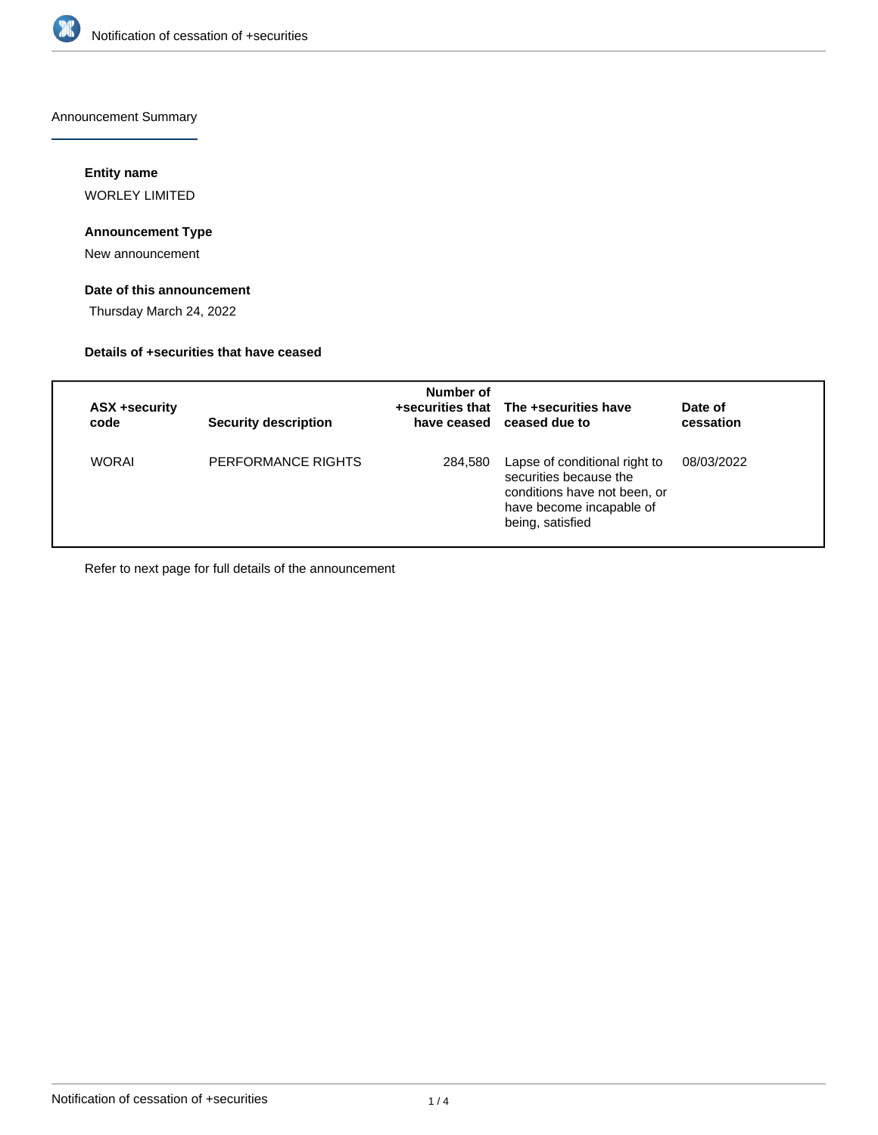

Announcement Summary

# **Entity name**

WORLEY LIMITED

# **Announcement Type**

New announcement

# **Date of this announcement**

Thursday March 24, 2022

## **Details of +securities that have ceased**

| ASX +security<br>code | <b>Security description</b> | Number of | +securities that The +securities have<br>have ceased ceased due to                                                                      | Date of<br>cessation |
|-----------------------|-----------------------------|-----------|-----------------------------------------------------------------------------------------------------------------------------------------|----------------------|
| <b>WORAI</b>          | PERFORMANCE RIGHTS          | 284,580   | Lapse of conditional right to<br>securities because the<br>conditions have not been, or<br>have become incapable of<br>being, satisfied | 08/03/2022           |

Refer to next page for full details of the announcement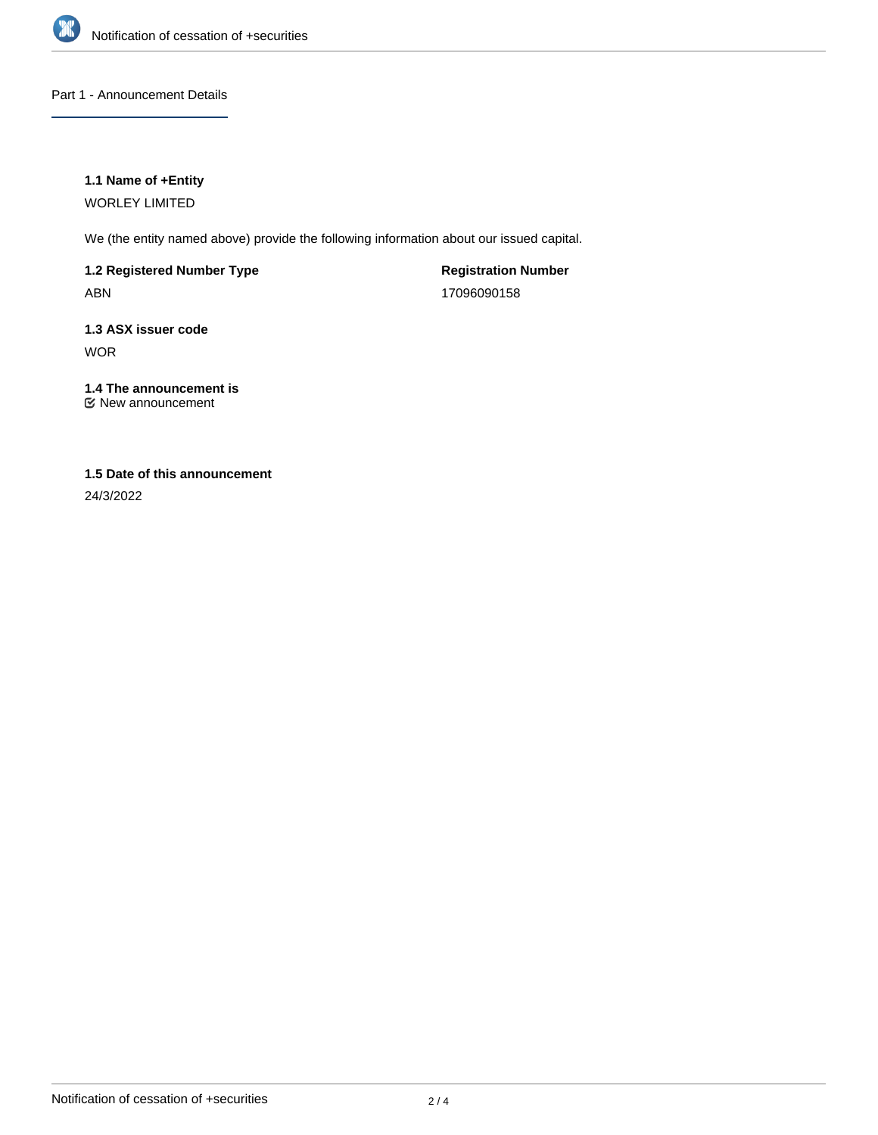

Part 1 - Announcement Details

## **1.1 Name of +Entity**

WORLEY LIMITED

We (the entity named above) provide the following information about our issued capital.

**1.2 Registered Number Type** ABN

**Registration Number** 17096090158

**1.3 ASX issuer code** WOR

**1.4 The announcement is** New announcement

# **1.5 Date of this announcement**

24/3/2022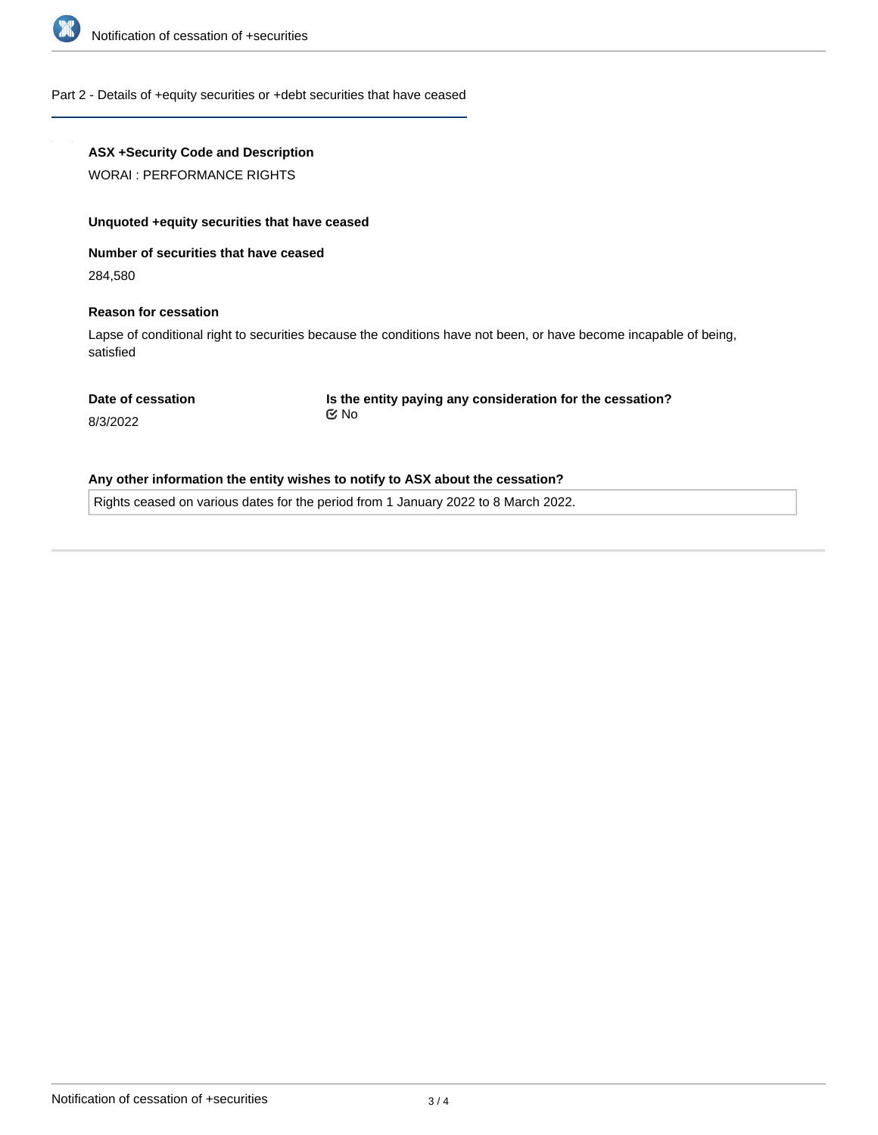

#### Part 2 - Details of +equity securities or +debt securities that have ceased

# **ASX +Security Code and Description**

WORAI : PERFORMANCE RIGHTS

#### **Unquoted +equity securities that have ceased**

## **Number of securities that have ceased**

284,580

#### **Reason for cessation**

Lapse of conditional right to securities because the conditions have not been, or have become incapable of being, satisfied

#### **Date of cessation**

**Is the entity paying any consideration for the cessation?** No

8/3/2022

## **Any other information the entity wishes to notify to ASX about the cessation?**

Rights ceased on various dates for the period from 1 January 2022 to 8 March 2022.